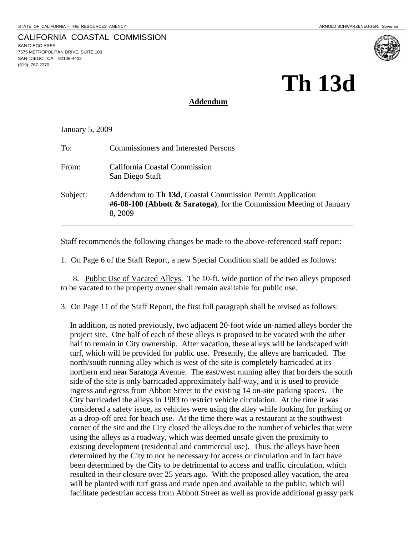#### CALIFORNIA COASTAL COMMISSION SAN DIEGO AREA 7575 METROPOLITAN DRIVE, SUITE 103 SAN DIEGO, CA 92108-4402 (619) 767-2370



#### **Addendum**

January 5, 2009

| To:      | <b>Commissioners and Interested Persons</b>                                                                                                    |
|----------|------------------------------------------------------------------------------------------------------------------------------------------------|
| From:    | California Coastal Commission<br>San Diego Staff                                                                                               |
| Subject: | Addendum to Th 13d, Coastal Commission Permit Application<br>$#6-08-100$ (Abbott & Saratoga), for the Commission Meeting of January<br>8, 2009 |

Staff recommends the following changes be made to the above-referenced staff report:

1. On Page 6 of the Staff Report, a new Special Condition shall be added as follows:

8. Public Use of Vacated Alleys. The 10-ft. wide portion of the two alleys proposed to be vacated to the property owner shall remain available for public use.

3. On Page 11 of the Staff Report, the first full paragraph shall be revised as follows:

In addition, as noted previously, two adjacent 20-foot wide un-named alleys border the project site. One half of each of these alleys is proposed to be vacated with the other half to remain in City ownership. After vacation, these alleys will be landscaped with turf, which will be provided for public use. Presently, the alleys are barricaded. The north/south running alley which is west of the site is completely barricaded at its northern end near Saratoga Avenue. The east/west running alley that borders the south side of the site is only barricaded approximately half-way, and it is used to provide ingress and egress from Abbott Street to the existing 14 on-site parking spaces. The City barricaded the alleys in 1983 to restrict vehicle circulation. At the time it was considered a safety issue, as vehicles were using the alley while looking for parking or as a drop-off area for beach use. At the time there was a restaurant at the southwest corner of the site and the City closed the alleys due to the number of vehicles that were using the alleys as a roadway, which was deemed unsafe given the proximity to existing development (residential and commercial use). Thus, the alleys have been determined by the City to not be necessary for access or circulation and in fact have been determined by the City to be detrimental to access and traffic circulation, which resulted in their closure over 25 years ago. With the proposed alley vacation, the area will be planted with turf grass and made open and available to the public, which will facilitate pedestrian access from Abbott Street as well as provide additional grassy park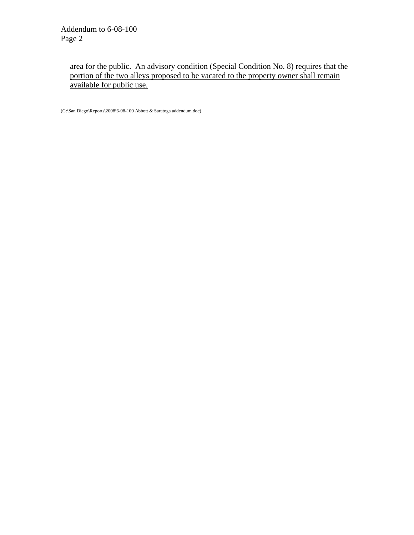area for the public. An advisory condition (Special Condition No. 8) requires that the portion of the two alleys proposed to be vacated to the property owner shall remain available for public use.

(G:\San Diego\Reports\2008\6-08-100 Abbott & Saratoga addendum.doc)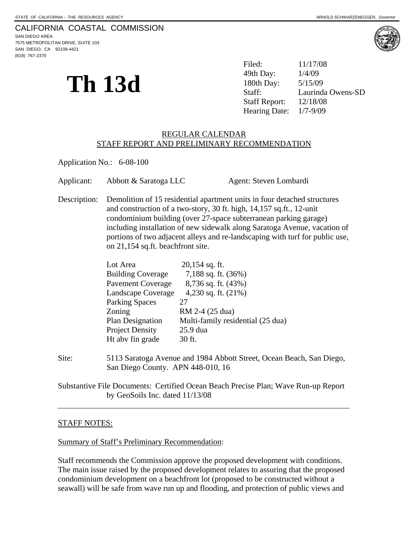# CALIFORNIA COASTAL COMMISSION

SAN DIEGO AREA 7575 METROPOLITAN DRIVE, SUITE 103 SAN DIEGO, CA 92108-4421 (619) 767-2370



**Th** 13d  $\frac{49th \, Day:}{180th \, Day:}{5/15/09 \atop \text{Statf:}}$ Filed: 11/17/08 49th Day: Laurinda Owens-SD Staff Report: 12/18/08 Hearing Date: 1/7-9/09

#### REGULAR CALENDAR STAFF REPORT AND PRELIMINARY RECOMMENDATION

Application No.: 6-08-100

Applicant: Abbott & Saratoga LLC Agent: Steven Lombardi

Description: Demolition of 15 residential apartment units in four detached structures and construction of a two-story, 30 ft. high, 14,157 sq.ft., 12-unit condominium building (over 27-space subterranean parking garage) including installation of new sidewalk along Saratoga Avenue, vacation of portions of two adjacent alleys and re-landscaping with turf for public use, on 21,154 sq.ft. beachfront site.

| $20,154$ sq. ft.                  |
|-----------------------------------|
| 7,188 sq. ft. (36%)               |
| 8,736 sq. ft. (43%)               |
| 4,230 sq. ft. (21%)               |
| 27                                |
| RM 2-4 (25 dua)                   |
| Multi-family residential (25 dua) |
| 25.9 dua                          |
| 30 ft.                            |
|                                   |

Site: 5113 Saratoga Avenue and 1984 Abbott Street, Ocean Beach, San Diego, San Diego County. APN 448-010, 16

Substantive File Documents: Certified Ocean Beach Precise Plan; Wave Run-up Report by GeoSoils Inc. dated 11/13/08

#### STAFF NOTES:

 $\overline{a}$ 

Summary of Staff's Preliminary Recommendation:

Staff recommends the Commission approve the proposed development with conditions. The main issue raised by the proposed development relates to assuring that the proposed condominium development on a beachfront lot (proposed to be constructed without a seawall) will be safe from wave run up and flooding, and protection of public views and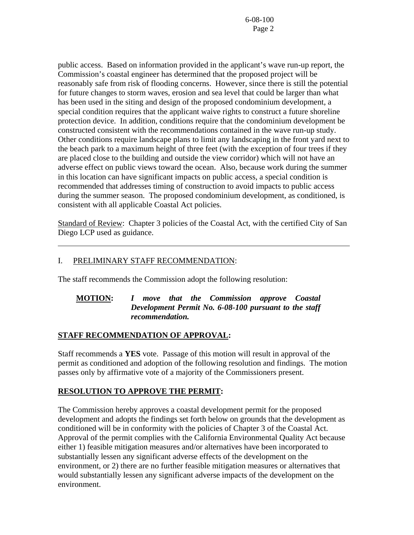public access. Based on information provided in the applicant's wave run-up report, the Commission's coastal engineer has determined that the proposed project will be reasonably safe from risk of flooding concerns. However, since there is still the potential for future changes to storm waves, erosion and sea level that could be larger than what has been used in the siting and design of the proposed condominium development, a special condition requires that the applicant waive rights to construct a future shoreline protection device. In addition, conditions require that the condominium development be constructed consistent with the recommendations contained in the wave run-up study. Other conditions require landscape plans to limit any landscaping in the front yard next to the beach park to a maximum height of three feet (with the exception of four trees if they are placed close to the building and outside the view corridor) which will not have an adverse effect on public views toward the ocean. Also, because work during the summer in this location can have significant impacts on public access, a special condition is recommended that addresses timing of construction to avoid impacts to public access during the summer season. The proposed condominium development, as conditioned, is consistent with all applicable Coastal Act policies.

Standard of Review: Chapter 3 policies of the Coastal Act, with the certified City of San Diego LCP used as guidance.

# I. PRELIMINARY STAFF RECOMMENDATION:

 $\overline{a}$ 

The staff recommends the Commission adopt the following resolution:

#### **MOTION:** *I move that the Commission approve Coastal Development Permit No. 6-08-100 pursuant to the staff recommendation.*

#### **STAFF RECOMMENDATION OF APPROVAL:**

Staff recommends a **YES** vote. Passage of this motion will result in approval of the permit as conditioned and adoption of the following resolution and findings. The motion passes only by affirmative vote of a majority of the Commissioners present.

#### **RESOLUTION TO APPROVE THE PERMIT:**

The Commission hereby approves a coastal development permit for the proposed development and adopts the findings set forth below on grounds that the development as conditioned will be in conformity with the policies of Chapter 3 of the Coastal Act. Approval of the permit complies with the California Environmental Quality Act because either 1) feasible mitigation measures and/or alternatives have been incorporated to substantially lessen any significant adverse effects of the development on the environment, or 2) there are no further feasible mitigation measures or alternatives that would substantially lessen any significant adverse impacts of the development on the environment.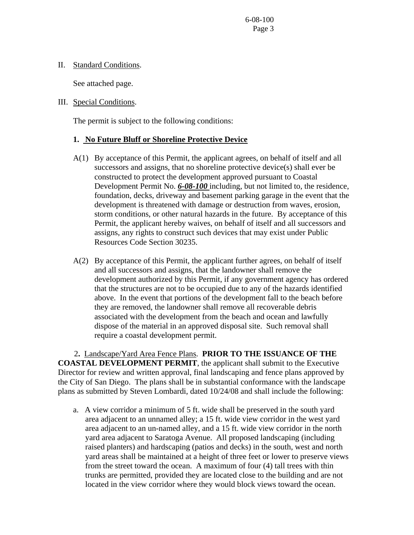II. Standard Conditions.

See attached page.

#### III. Special Conditions.

The permit is subject to the following conditions:

# **1. No Future Bluff or Shoreline Protective Device**

- A(1) By acceptance of this Permit, the applicant agrees, on behalf of itself and all successors and assigns, that no shoreline protective device(s) shall ever be constructed to protect the development approved pursuant to Coastal Development Permit No. *6-08-100* including, but not limited to, the residence, foundation, decks, driveway and basement parking garage in the event that the development is threatened with damage or destruction from waves, erosion, storm conditions, or other natural hazards in the future. By acceptance of this Permit, the applicant hereby waives, on behalf of itself and all successors and assigns, any rights to construct such devices that may exist under Public Resources Code Section 30235.
- A(2) By acceptance of this Permit, the applicant further agrees, on behalf of itself and all successors and assigns, that the landowner shall remove the development authorized by this Permit, if any government agency has ordered that the structures are not to be occupied due to any of the hazards identified above. In the event that portions of the development fall to the beach before they are removed, the landowner shall remove all recoverable debris associated with the development from the beach and ocean and lawfully dispose of the material in an approved disposal site. Such removal shall require a coastal development permit.

2**.** Landscape/Yard Area Fence Plans. **PRIOR TO THE ISSUANCE OF THE COASTAL DEVELOPMENT PERMIT**, the applicant shall submit to the Executive Director for review and written approval, final landscaping and fence plans approved by the City of San Diego. The plans shall be in substantial conformance with the landscape plans as submitted by Steven Lombardi, dated 10/24/08 and shall include the following:

a. A view corridor a minimum of 5 ft. wide shall be preserved in the south yard area adjacent to an unnamed alley; a 15 ft. wide view corridor in the west yard area adjacent to an un-named alley, and a 15 ft. wide view corridor in the north yard area adjacent to Saratoga Avenue. All proposed landscaping (including raised planters) and hardscaping (patios and decks) in the south, west and north yard areas shall be maintained at a height of three feet or lower to preserve views from the street toward the ocean. A maximum of four (4) tall trees with thin trunks are permitted, provided they are located close to the building and are not located in the view corridor where they would block views toward the ocean.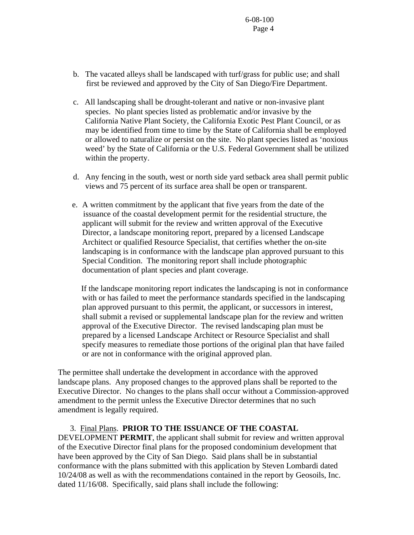- b. The vacated alleys shall be landscaped with turf/grass for public use; and shall first be reviewed and approved by the City of San Diego/Fire Department.
- c. All landscaping shall be drought-tolerant and native or non-invasive plant species. No plant species listed as problematic and/or invasive by the California Native Plant Society, the California Exotic Pest Plant Council, or as may be identified from time to time by the State of California shall be employed or allowed to naturalize or persist on the site. No plant species listed as 'noxious weed' by the State of California or the U.S. Federal Government shall be utilized within the property.
- d. Any fencing in the south, west or north side yard setback area shall permit public views and 75 percent of its surface area shall be open or transparent.
- e. A written commitment by the applicant that five years from the date of the issuance of the coastal development permit for the residential structure, the applicant will submit for the review and written approval of the Executive Director, a landscape monitoring report, prepared by a licensed Landscape Architect or qualified Resource Specialist, that certifies whether the on-site landscaping is in conformance with the landscape plan approved pursuant to this Special Condition. The monitoring report shall include photographic documentation of plant species and plant coverage.

 If the landscape monitoring report indicates the landscaping is not in conformance with or has failed to meet the performance standards specified in the landscaping plan approved pursuant to this permit, the applicant, or successors in interest, shall submit a revised or supplemental landscape plan for the review and written approval of the Executive Director. The revised landscaping plan must be prepared by a licensed Landscape Architect or Resource Specialist and shall specify measures to remediate those portions of the original plan that have failed or are not in conformance with the original approved plan.

The permittee shall undertake the development in accordance with the approved landscape plans. Any proposed changes to the approved plans shall be reported to the Executive Director. No changes to the plans shall occur without a Commission-approved amendment to the permit unless the Executive Director determines that no such amendment is legally required.

3. Final Plans. **PRIOR TO THE ISSUANCE OF THE COASTAL** 

DEVELOPMENT **PERMIT**, the applicant shall submit for review and written approval of the Executive Director final plans for the proposed condominium development that have been approved by the City of San Diego. Said plans shall be in substantial conformance with the plans submitted with this application by Steven Lombardi dated 10/24/08 as well as with the recommendations contained in the report by Geosoils, Inc. dated 11/16/08. Specifically, said plans shall include the following: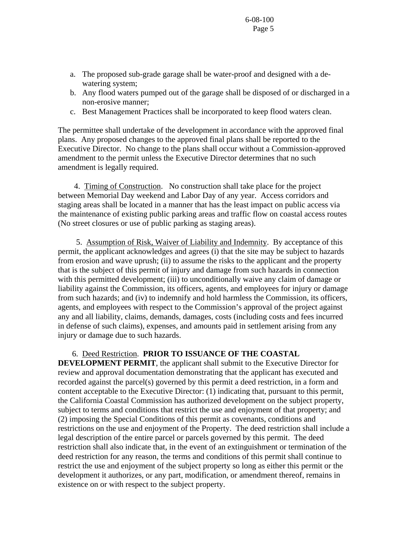- a. The proposed sub-grade garage shall be water-proof and designed with a dewatering system;
- b. Any flood waters pumped out of the garage shall be disposed of or discharged in a non-erosive manner;
- c. Best Management Practices shall be incorporated to keep flood waters clean.

The permittee shall undertake of the development in accordance with the approved final plans. Any proposed changes to the approved final plans shall be reported to the Executive Director. No change to the plans shall occur without a Commission-approved amendment to the permit unless the Executive Director determines that no such amendment is legally required.

 4. Timing of Construction.No construction shall take place for the project between Memorial Day weekend and Labor Day of any year. Access corridors and staging areas shall be located in a manner that has the least impact on public access via the maintenance of existing public parking areas and traffic flow on coastal access routes (No street closures or use of public parking as staging areas).

 5. Assumption of Risk, Waiver of Liability and Indemnity. By acceptance of this permit, the applicant acknowledges and agrees (i) that the site may be subject to hazards from erosion and wave uprush; (ii) to assume the risks to the applicant and the property that is the subject of this permit of injury and damage from such hazards in connection with this permitted development; (iii) to unconditionally waive any claim of damage or liability against the Commission, its officers, agents, and employees for injury or damage from such hazards; and (iv) to indemnify and hold harmless the Commission, its officers, agents, and employees with respect to the Commission's approval of the project against any and all liability, claims, demands, damages, costs (including costs and fees incurred in defense of such claims), expenses, and amounts paid in settlement arising from any injury or damage due to such hazards.

# 6. Deed Restriction. **PRIOR TO ISSUANCE OF THE COASTAL**

**DEVELOPMENT PERMIT**, the applicant shall submit to the Executive Director for review and approval documentation demonstrating that the applicant has executed and recorded against the parcel(s) governed by this permit a deed restriction, in a form and content acceptable to the Executive Director: (1) indicating that, pursuant to this permit, the California Coastal Commission has authorized development on the subject property, subject to terms and conditions that restrict the use and enjoyment of that property; and (2) imposing the Special Conditions of this permit as covenants, conditions and restrictions on the use and enjoyment of the Property. The deed restriction shall include a legal description of the entire parcel or parcels governed by this permit. The deed restriction shall also indicate that, in the event of an extinguishment or termination of the deed restriction for any reason, the terms and conditions of this permit shall continue to restrict the use and enjoyment of the subject property so long as either this permit or the development it authorizes, or any part, modification, or amendment thereof, remains in existence on or with respect to the subject property.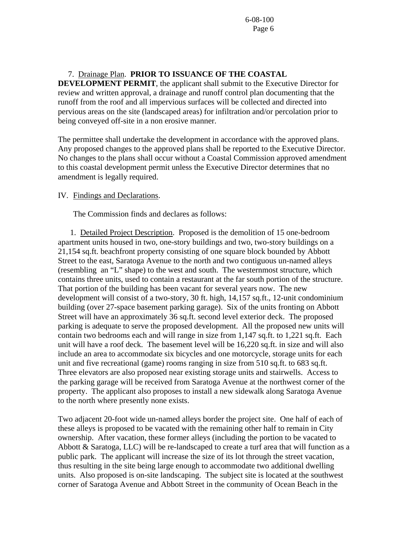# 7. Drainage Plan. **PRIOR TO ISSUANCE OF THE COASTAL**

**DEVELOPMENT PERMIT**, the applicant shall submit to the Executive Director for review and written approval, a drainage and runoff control plan documenting that the runoff from the roof and all impervious surfaces will be collected and directed into pervious areas on the site (landscaped areas) for infiltration and/or percolation prior to being conveyed off-site in a non erosive manner.

The permittee shall undertake the development in accordance with the approved plans. Any proposed changes to the approved plans shall be reported to the Executive Director. No changes to the plans shall occur without a Coastal Commission approved amendment to this coastal development permit unless the Executive Director determines that no amendment is legally required.

#### IV. Findings and Declarations.

The Commission finds and declares as follows:

 1. Detailed Project Description. Proposed is the demolition of 15 one-bedroom apartment units housed in two, one-story buildings and two, two-story buildings on a 21,154 sq.ft. beachfront property consisting of one square block bounded by Abbott Street to the east, Saratoga Avenue to the north and two contiguous un-named alleys (resembling an "L" shape) to the west and south. The westernmost structure, which contains three units, used to contain a restaurant at the far south portion of the structure. That portion of the building has been vacant for several years now. The new development will consist of a two-story, 30 ft. high, 14,157 sq.ft., 12-unit condominium building (over 27-space basement parking garage). Six of the units fronting on Abbott Street will have an approximately 36 sq.ft. second level exterior deck. The proposed parking is adequate to serve the proposed development. All the proposed new units will contain two bedrooms each and will range in size from 1,147 sq.ft. to 1,221 sq.ft. Each unit will have a roof deck. The basement level will be 16,220 sq.ft. in size and will also include an area to accommodate six bicycles and one motorcycle, storage units for each unit and five recreational (game) rooms ranging in size from 510 sq.ft. to 683 sq.ft. Three elevators are also proposed near existing storage units and stairwells. Access to the parking garage will be received from Saratoga Avenue at the northwest corner of the property. The applicant also proposes to install a new sidewalk along Saratoga Avenue to the north where presently none exists.

Two adjacent 20-foot wide un-named alleys border the project site. One half of each of these alleys is proposed to be vacated with the remaining other half to remain in City ownership. After vacation, these former alleys (including the portion to be vacated to Abbott & Saratoga, LLC) will be re-landscaped to create a turf area that will function as a public park. The applicant will increase the size of its lot through the street vacation, thus resulting in the site being large enough to accommodate two additional dwelling units. Also proposed is on-site landscaping. The subject site is located at the southwest corner of Saratoga Avenue and Abbott Street in the community of Ocean Beach in the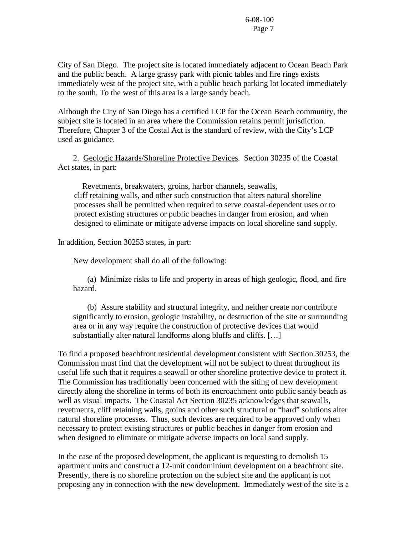City of San Diego. The project site is located immediately adjacent to Ocean Beach Park and the public beach. A large grassy park with picnic tables and fire rings exists immediately west of the project site, with a public beach parking lot located immediately to the south. To the west of this area is a large sandy beach.

Although the City of San Diego has a certified LCP for the Ocean Beach community, the subject site is located in an area where the Commission retains permit jurisdiction. Therefore, Chapter 3 of the Costal Act is the standard of review, with the City's LCP used as guidance.

 2. Geologic Hazards/Shoreline Protective Devices. Section 30235 of the Coastal Act states, in part:

 Revetments, breakwaters, groins, harbor channels, seawalls, cliff retaining walls, and other such construction that alters natural shoreline processes shall be permitted when required to serve coastal-dependent uses or to protect existing structures or public beaches in danger from erosion, and when designed to eliminate or mitigate adverse impacts on local shoreline sand supply.

In addition, Section 30253 states, in part:

New development shall do all of the following:

 (a) Minimize risks to life and property in areas of high geologic, flood, and fire hazard.

 (b) Assure stability and structural integrity, and neither create nor contribute significantly to erosion, geologic instability, or destruction of the site or surrounding area or in any way require the construction of protective devices that would substantially alter natural landforms along bluffs and cliffs. […]

To find a proposed beachfront residential development consistent with Section 30253, the Commission must find that the development will not be subject to threat throughout its useful life such that it requires a seawall or other shoreline protective device to protect it. The Commission has traditionally been concerned with the siting of new development directly along the shoreline in terms of both its encroachment onto public sandy beach as well as visual impacts. The Coastal Act Section 30235 acknowledges that seawalls, revetments, cliff retaining walls, groins and other such structural or "hard" solutions alter natural shoreline processes. Thus, such devices are required to be approved only when necessary to protect existing structures or public beaches in danger from erosion and when designed to eliminate or mitigate adverse impacts on local sand supply.

In the case of the proposed development, the applicant is requesting to demolish 15 apartment units and construct a 12-unit condominium development on a beachfront site. Presently, there is no shoreline protection on the subject site and the applicant is not proposing any in connection with the new development. Immediately west of the site is a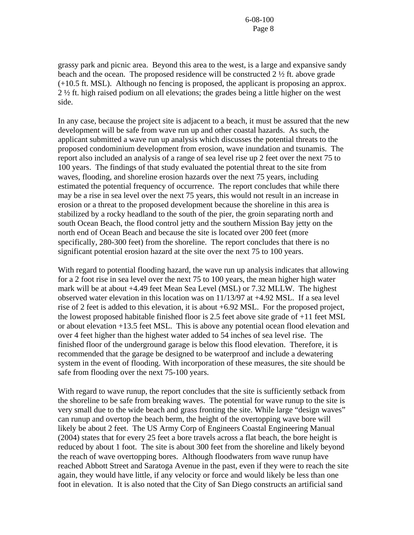grassy park and picnic area. Beyond this area to the west, is a large and expansive sandy beach and the ocean. The proposed residence will be constructed 2 ½ ft. above grade (+10.5 ft. MSL). Although no fencing is proposed, the applicant is proposing an approx. 2 ½ ft. high raised podium on all elevations; the grades being a little higher on the west side.

In any case, because the project site is adjacent to a beach, it must be assured that the new development will be safe from wave run up and other coastal hazards. As such, the applicant submitted a wave run up analysis which discusses the potential threats to the proposed condominium development from erosion, wave inundation and tsunamis. The report also included an analysis of a range of sea level rise up 2 feet over the next 75 to 100 years. The findings of that study evaluated the potential threat to the site from waves, flooding, and shoreline erosion hazards over the next 75 years, including estimated the potential frequency of occurrence. The report concludes that while there may be a rise in sea level over the next 75 years, this would not result in an increase in erosion or a threat to the proposed development because the shoreline in this area is stabilized by a rocky headland to the south of the pier, the groin separating north and south Ocean Beach, the flood control jetty and the southern Mission Bay jetty on the north end of Ocean Beach and because the site is located over 200 feet (more specifically, 280-300 feet) from the shoreline. The report concludes that there is no significant potential erosion hazard at the site over the next 75 to 100 years.

With regard to potential flooding hazard, the wave run up analysis indicates that allowing for a 2 foot rise in sea level over the next 75 to 100 years, the mean higher high water mark will be at about +4.49 feet Mean Sea Level (MSL) or 7.32 MLLW. The highest observed water elevation in this location was on 11/13/97 at +4.92 MSL. If a sea level rise of 2 feet is added to this elevation, it is about +6.92 MSL. For the proposed project, the lowest proposed habitable finished floor is 2.5 feet above site grade of +11 feet MSL or about elevation +13.5 feet MSL. This is above any potential ocean flood elevation and over 4 feet higher than the highest water added to 54 inches of sea level rise. The finished floor of the underground garage is below this flood elevation. Therefore, it is recommended that the garage be designed to be waterproof and include a dewatering system in the event of flooding. With incorporation of these measures, the site should be safe from flooding over the next 75-100 years.

With regard to wave runup, the report concludes that the site is sufficiently setback from the shoreline to be safe from breaking waves. The potential for wave runup to the site is very small due to the wide beach and grass fronting the site. While large "design waves" can runup and overtop the beach berm, the height of the overtopping wave bore will likely be about 2 feet. The US Army Corp of Engineers Coastal Engineering Manual (2004) states that for every 25 feet a bore travels across a flat beach, the bore height is reduced by about 1 foot. The site is about 300 feet from the shoreline and likely beyond the reach of wave overtopping bores. Although floodwaters from wave runup have reached Abbott Street and Saratoga Avenue in the past, even if they were to reach the site again, they would have little, if any velocity or force and would likely be less than one foot in elevation. It is also noted that the City of San Diego constructs an artificial sand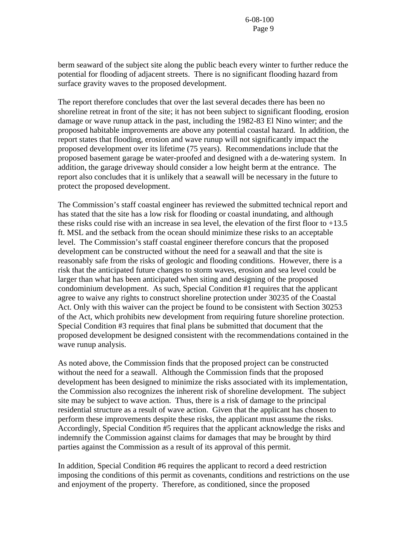berm seaward of the subject site along the public beach every winter to further reduce the potential for flooding of adjacent streets. There is no significant flooding hazard from surface gravity waves to the proposed development.

The report therefore concludes that over the last several decades there has been no shoreline retreat in front of the site; it has not been subject to significant flooding, erosion damage or wave runup attack in the past, including the 1982-83 El Nino winter; and the proposed habitable improvements are above any potential coastal hazard. In addition, the report states that flooding, erosion and wave runup will not significantly impact the proposed development over its lifetime (75 years). Recommendations include that the proposed basement garage be water-proofed and designed with a de-watering system. In addition, the garage driveway should consider a low height berm at the entrance. The report also concludes that it is unlikely that a seawall will be necessary in the future to protect the proposed development.

The Commission's staff coastal engineer has reviewed the submitted technical report and has stated that the site has a low risk for flooding or coastal inundating, and although these risks could rise with an increase in sea level, the elevation of the first floor to  $+13.5$ ft. MSL and the setback from the ocean should minimize these risks to an acceptable level. The Commission's staff coastal engineer therefore concurs that the proposed development can be constructed without the need for a seawall and that the site is reasonably safe from the risks of geologic and flooding conditions. However, there is a risk that the anticipated future changes to storm waves, erosion and sea level could be larger than what has been anticipated when siting and designing of the proposed condominium development. As such, Special Condition #1 requires that the applicant agree to waive any rights to construct shoreline protection under 30235 of the Coastal Act. Only with this waiver can the project be found to be consistent with Section 30253 of the Act, which prohibits new development from requiring future shoreline protection. Special Condition #3 requires that final plans be submitted that document that the proposed development be designed consistent with the recommendations contained in the wave runup analysis.

As noted above, the Commission finds that the proposed project can be constructed without the need for a seawall. Although the Commission finds that the proposed development has been designed to minimize the risks associated with its implementation, the Commission also recognizes the inherent risk of shoreline development. The subject site may be subject to wave action. Thus, there is a risk of damage to the principal residential structure as a result of wave action. Given that the applicant has chosen to perform these improvements despite these risks, the applicant must assume the risks. Accordingly, Special Condition #5 requires that the applicant acknowledge the risks and indemnify the Commission against claims for damages that may be brought by third parties against the Commission as a result of its approval of this permit.

In addition, Special Condition #6 requires the applicant to record a deed restriction imposing the conditions of this permit as covenants, conditions and restrictions on the use and enjoyment of the property. Therefore, as conditioned, since the proposed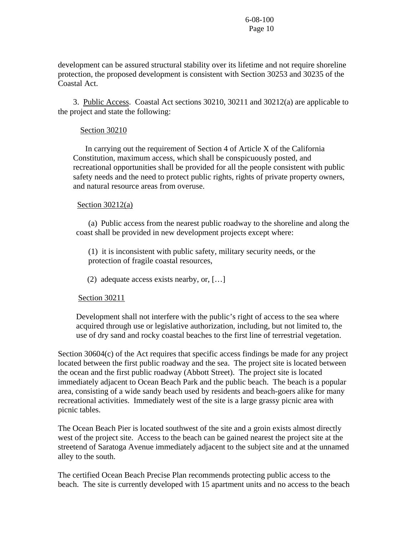development can be assured structural stability over its lifetime and not require shoreline protection, the proposed development is consistent with Section 30253 and 30235 of the Coastal Act.

3. Public Access. Coastal Act sections 30210, 30211 and 30212(a) are applicable to the project and state the following:

#### Section 30210

 In carrying out the requirement of Section 4 of Article X of the California Constitution, maximum access, which shall be conspicuously posted, and recreational opportunities shall be provided for all the people consistent with public safety needs and the need to protect public rights, rights of private property owners, and natural resource areas from overuse.

#### Section  $30212(a)$

(a) Public access from the nearest public roadway to the shoreline and along the coast shall be provided in new development projects except where:

(1) it is inconsistent with public safety, military security needs, or the protection of fragile coastal resources,

(2) adequate access exists nearby, or, […]

#### Section 30211

Development shall not interfere with the public's right of access to the sea where acquired through use or legislative authorization, including, but not limited to, the use of dry sand and rocky coastal beaches to the first line of terrestrial vegetation.

Section 30604(c) of the Act requires that specific access findings be made for any project located between the first public roadway and the sea. The project site is located between the ocean and the first public roadway (Abbott Street). The project site is located immediately adjacent to Ocean Beach Park and the public beach. The beach is a popular area, consisting of a wide sandy beach used by residents and beach-goers alike for many recreational activities. Immediately west of the site is a large grassy picnic area with picnic tables.

The Ocean Beach Pier is located southwest of the site and a groin exists almost directly west of the project site. Access to the beach can be gained nearest the project site at the streetend of Saratoga Avenue immediately adjacent to the subject site and at the unnamed alley to the south.

The certified Ocean Beach Precise Plan recommends protecting public access to the beach. The site is currently developed with 15 apartment units and no access to the beach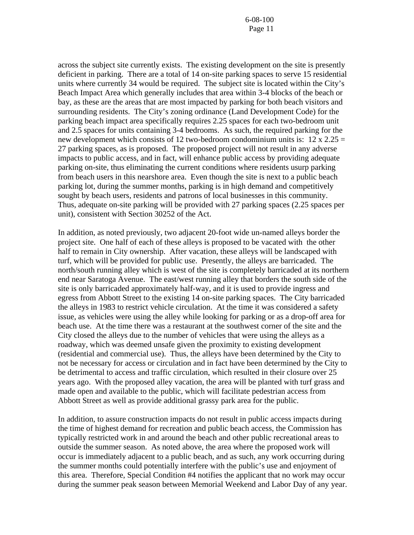across the subject site currently exists. The existing development on the site is presently deficient in parking. There are a total of 14 on-site parking spaces to serve 15 residential units where currently 34 would be required. The subject site is located within the City's Beach Impact Area which generally includes that area within 3-4 blocks of the beach or bay, as these are the areas that are most impacted by parking for both beach visitors and surrounding residents. The City's zoning ordinance (Land Development Code) for the parking beach impact area specifically requires 2.25 spaces for each two-bedroom unit and 2.5 spaces for units containing 3-4 bedrooms. As such, the required parking for the new development which consists of 12 two-bedroom condominium units is:  $12 \times 2.25 =$ 27 parking spaces, as is proposed. The proposed project will not result in any adverse impacts to public access, and in fact, will enhance public access by providing adequate parking on-site, thus eliminating the current conditions where residents usurp parking from beach users in this nearshore area. Even though the site is next to a public beach parking lot, during the summer months, parking is in high demand and competitively sought by beach users, residents and patrons of local businesses in this community. Thus, adequate on-site parking will be provided with 27 parking spaces (2.25 spaces per unit), consistent with Section 30252 of the Act.

In addition, as noted previously, two adjacent 20-foot wide un-named alleys border the project site. One half of each of these alleys is proposed to be vacated with the other half to remain in City ownership. After vacation, these alleys will be landscaped with turf, which will be provided for public use. Presently, the alleys are barricaded. The north/south running alley which is west of the site is completely barricaded at its northern end near Saratoga Avenue. The east/west running alley that borders the south side of the site is only barricaded approximately half-way, and it is used to provide ingress and egress from Abbott Street to the existing 14 on-site parking spaces. The City barricaded the alleys in 1983 to restrict vehicle circulation. At the time it was considered a safety issue, as vehicles were using the alley while looking for parking or as a drop-off area for beach use. At the time there was a restaurant at the southwest corner of the site and the City closed the alleys due to the number of vehicles that were using the alleys as a roadway, which was deemed unsafe given the proximity to existing development (residential and commercial use). Thus, the alleys have been determined by the City to not be necessary for access or circulation and in fact have been determined by the City to be detrimental to access and traffic circulation, which resulted in their closure over 25 years ago. With the proposed alley vacation, the area will be planted with turf grass and made open and available to the public, which will facilitate pedestrian access from Abbott Street as well as provide additional grassy park area for the public.

In addition, to assure construction impacts do not result in public access impacts during the time of highest demand for recreation and public beach access, the Commission has typically restricted work in and around the beach and other public recreational areas to outside the summer season. As noted above, the area where the proposed work will occur is immediately adjacent to a public beach, and as such, any work occurring during the summer months could potentially interfere with the public's use and enjoyment of this area. Therefore, Special Condition #4 notifies the applicant that no work may occur during the summer peak season between Memorial Weekend and Labor Day of any year.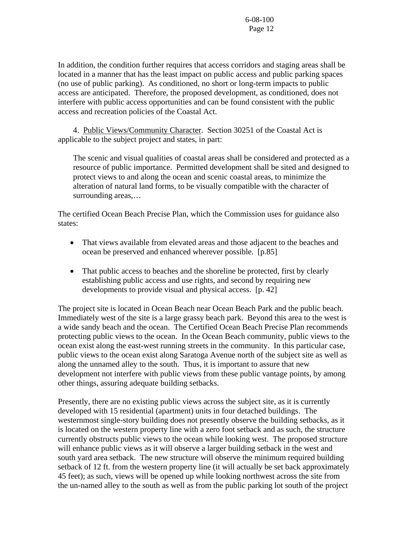In addition, the condition further requires that access corridors and staging areas shall be located in a manner that has the least impact on public access and public parking spaces (no use of public parking). As conditioned, no short or long-term impacts to public access are anticipated. Therefore, the proposed development, as conditioned, does not interfere with public access opportunities and can be found consistent with the public access and recreation policies of the Coastal Act.

4. Public Views/Community Character. Section 30251 of the Coastal Act is applicable to the subject project and states, in part:

The scenic and visual qualities of coastal areas shall be considered and protected as a resource of public importance. Permitted development shall be sited and designed to protect views to and along the ocean and scenic coastal areas, to minimize the alteration of natural land forms, to be visually compatible with the character of surrounding areas,…

The certified Ocean Beach Precise Plan, which the Commission uses for guidance also states:

- That views available from elevated areas and those adjacent to the beaches and ocean be preserved and enhanced wherever possible. [p.85]
- That public access to beaches and the shoreline be protected, first by clearly establishing public access and use rights, and second by requiring new developments to provide visual and physical access. [p. 42]

The project site is located in Ocean Beach near Ocean Beach Park and the public beach. Immediately west of the site is a large grassy beach park. Beyond this area to the west is a wide sandy beach and the ocean. The Certified Ocean Beach Precise Plan recommends protecting public views to the ocean. In the Ocean Beach community, public views to the ocean exist along the east-west running streets in the community. In this particular case, public views to the ocean exist along Saratoga Avenue north of the subject site as well as along the unnamed alley to the south. Thus, it is important to assure that new development not interfere with public views from these public vantage points, by among other things, assuring adequate building setbacks.

Presently, there are no existing public views across the subject site, as it is currently developed with 15 residential (apartment) units in four detached buildings. The westernmost single-story building does not presently observe the building setbacks, as it is located on the western property line with a zero foot setback and as such, the structure currently obstructs public views to the ocean while looking west. The proposed structure will enhance public views as it will observe a larger building setback in the west and south yard area setback. The new structure will observe the minimum required building setback of 12 ft. from the western property line (it will actually be set back approximately 45 feet); as such, views will be opened up while looking northwest across the site from the un-named alley to the south as well as from the public parking lot south of the project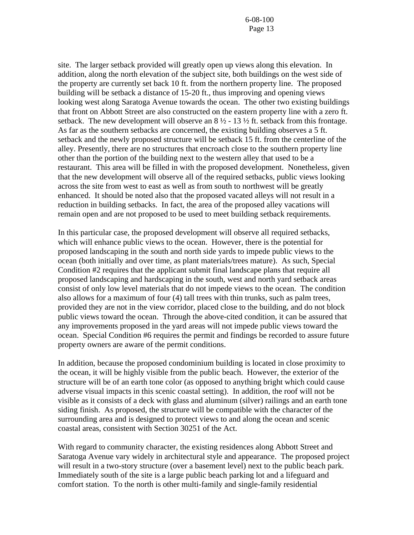site. The larger setback provided will greatly open up views along this elevation. In addition, along the north elevation of the subject site, both buildings on the west side of the property are currently set back 10 ft. from the northern property line. The proposed building will be setback a distance of 15-20 ft., thus improving and opening views looking west along Saratoga Avenue towards the ocean. The other two existing buildings that front on Abbott Street are also constructed on the eastern property line with a zero ft. setback. The new development will observe an  $8\frac{1}{2}$  - 13  $\frac{1}{2}$  ft. setback from this frontage. As far as the southern setbacks are concerned, the existing building observes a 5 ft. setback and the newly proposed structure will be setback 15 ft. from the centerline of the alley. Presently, there are no structures that encroach close to the southern property line other than the portion of the building next to the western alley that used to be a restaurant. This area will be filled in with the proposed development. Nonetheless, given that the new development will observe all of the required setbacks, public views looking across the site from west to east as well as from south to northwest will be greatly enhanced. It should be noted also that the proposed vacated alleys will not result in a reduction in building setbacks. In fact, the area of the proposed alley vacations will remain open and are not proposed to be used to meet building setback requirements.

In this particular case, the proposed development will observe all required setbacks, which will enhance public views to the ocean. However, there is the potential for proposed landscaping in the south and north side yards to impede public views to the ocean (both initially and over time, as plant materials/trees mature). As such, Special Condition #2 requires that the applicant submit final landscape plans that require all proposed landscaping and hardscaping in the south, west and north yard setback areas consist of only low level materials that do not impede views to the ocean. The condition also allows for a maximum of four (4) tall trees with thin trunks, such as palm trees, provided they are not in the view corridor, placed close to the building, and do not block public views toward the ocean. Through the above-cited condition, it can be assured that any improvements proposed in the yard areas will not impede public views toward the ocean. Special Condition #6 requires the permit and findings be recorded to assure future property owners are aware of the permit conditions.

In addition, because the proposed condominium building is located in close proximity to the ocean, it will be highly visible from the public beach. However, the exterior of the structure will be of an earth tone color (as opposed to anything bright which could cause adverse visual impacts in this scenic coastal setting). In addition, the roof will not be visible as it consists of a deck with glass and aluminum (silver) railings and an earth tone siding finish. As proposed, the structure will be compatible with the character of the surrounding area and is designed to protect views to and along the ocean and scenic coastal areas, consistent with Section 30251 of the Act.

With regard to community character, the existing residences along Abbott Street and Saratoga Avenue vary widely in architectural style and appearance. The proposed project will result in a two-story structure (over a basement level) next to the public beach park. Immediately south of the site is a large public beach parking lot and a lifeguard and comfort station. To the north is other multi-family and single-family residential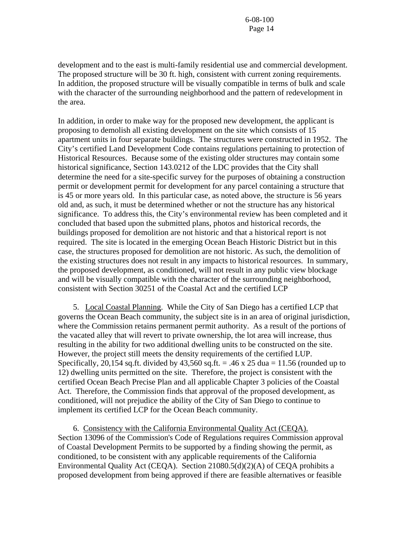development and to the east is multi-family residential use and commercial development. The proposed structure will be 30 ft. high, consistent with current zoning requirements. In addition, the proposed structure will be visually compatible in terms of bulk and scale with the character of the surrounding neighborhood and the pattern of redevelopment in the area.

In addition, in order to make way for the proposed new development, the applicant is proposing to demolish all existing development on the site which consists of 15 apartment units in four separate buildings. The structures were constructed in 1952. The City's certified Land Development Code contains regulations pertaining to protection of Historical Resources. Because some of the existing older structures may contain some historical significance, Section 143.0212 of the LDC provides that the City shall determine the need for a site-specific survey for the purposes of obtaining a construction permit or development permit for development for any parcel containing a structure that is 45 or more years old. In this particular case, as noted above, the structure is 56 years old and, as such, it must be determined whether or not the structure has any historical significance. To address this, the City's environmental review has been completed and it concluded that based upon the submitted plans, photos and historical records, the buildings proposed for demolition are not historic and that a historical report is not required. The site is located in the emerging Ocean Beach Historic District but in this case, the structures proposed for demolition are not historic. As such, the demolition of the existing structures does not result in any impacts to historical resources. In summary, the proposed development, as conditioned, will not result in any public view blockage and will be visually compatible with the character of the surrounding neighborhood, consistent with Section 30251 of the Coastal Act and the certified LCP

 5. Local Coastal Planning. While the City of San Diego has a certified LCP that governs the Ocean Beach community, the subject site is in an area of original jurisdiction, where the Commission retains permanent permit authority. As a result of the portions of the vacated alley that will revert to private ownership, the lot area will increase, thus resulting in the ability for two additional dwelling units to be constructed on the site. However, the project still meets the density requirements of the certified LUP. Specifically, 20,154 sq.ft. divided by  $43,560$  sq.ft. = .46 x 25 dua = 11.56 (rounded up to 12) dwelling units permitted on the site. Therefore, the project is consistent with the certified Ocean Beach Precise Plan and all applicable Chapter 3 policies of the Coastal Act. Therefore, the Commission finds that approval of the proposed development, as conditioned, will not prejudice the ability of the City of San Diego to continue to implement its certified LCP for the Ocean Beach community.

 6. Consistency with the California Environmental Quality Act (CEQA). Section 13096 of the Commission's Code of Regulations requires Commission approval of Coastal Development Permits to be supported by a finding showing the permit, as conditioned, to be consistent with any applicable requirements of the California Environmental Quality Act (CEQA). Section 21080.5(d)(2)(A) of CEQA prohibits a proposed development from being approved if there are feasible alternatives or feasible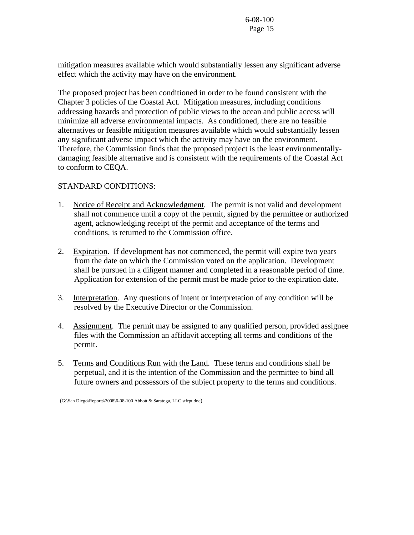mitigation measures available which would substantially lessen any significant adverse effect which the activity may have on the environment.

The proposed project has been conditioned in order to be found consistent with the Chapter 3 policies of the Coastal Act. Mitigation measures, including conditions addressing hazards and protection of public views to the ocean and public access will minimize all adverse environmental impacts. As conditioned, there are no feasible alternatives or feasible mitigation measures available which would substantially lessen any significant adverse impact which the activity may have on the environment. Therefore, the Commission finds that the proposed project is the least environmentallydamaging feasible alternative and is consistent with the requirements of the Coastal Act to conform to CEQA.

# STANDARD CONDITIONS:

- 1. Notice of Receipt and Acknowledgment. The permit is not valid and development shall not commence until a copy of the permit, signed by the permittee or authorized agent, acknowledging receipt of the permit and acceptance of the terms and conditions, is returned to the Commission office.
- 2. Expiration. If development has not commenced, the permit will expire two years from the date on which the Commission voted on the application. Development shall be pursued in a diligent manner and completed in a reasonable period of time. Application for extension of the permit must be made prior to the expiration date.
- 3. Interpretation. Any questions of intent or interpretation of any condition will be resolved by the Executive Director or the Commission.
- 4. Assignment. The permit may be assigned to any qualified person, provided assignee files with the Commission an affidavit accepting all terms and conditions of the permit.
- 5. Terms and Conditions Run with the Land. These terms and conditions shall be perpetual, and it is the intention of the Commission and the permittee to bind all future owners and possessors of the subject property to the terms and conditions.

(G:\San Diego\Reports\2008\6-08-100 Abbott & Saratoga, LLC stfrpt.doc)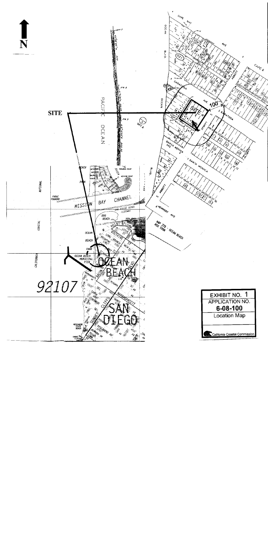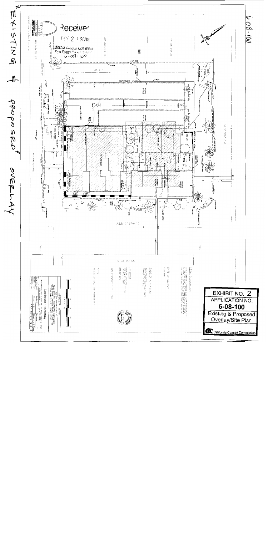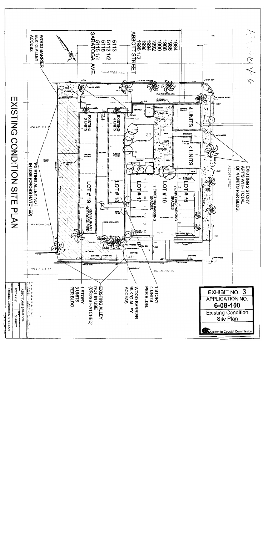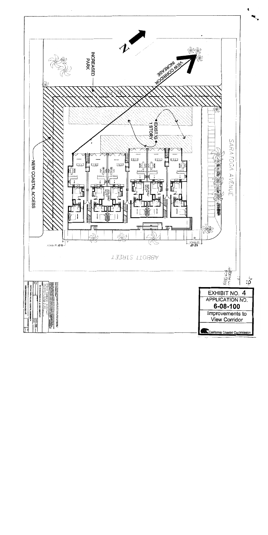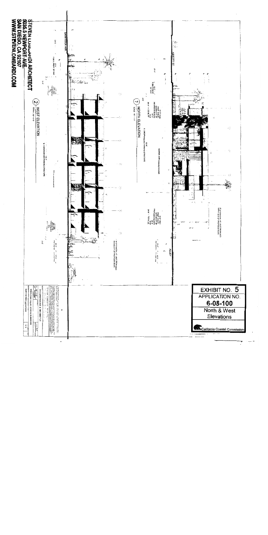